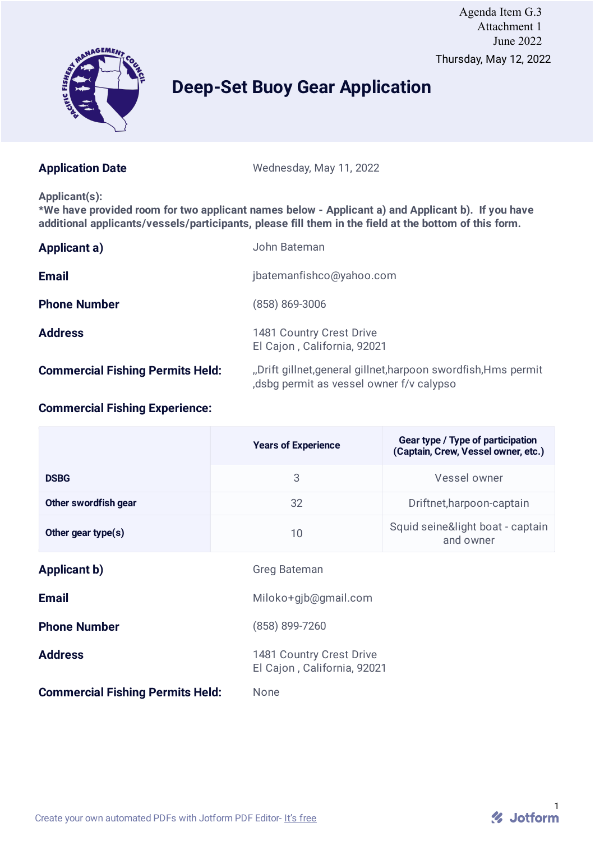

# Thursday, May 12, 2022 Agenda Item G.3 Attachment 1 June 2022

# **Deep-Set Buoy Gear Application**

Application Date Wednesday, May 11, 2022

#### **Applicant(s):**

**\*We have provided room for two applicant names below - Applicant a) and Applicant b). If you have additional applicants/vessels/participants, please fill them in the field at the bottom of this form.**

| Applicant a)                            | John Bateman                                                                                              |
|-----------------------------------------|-----------------------------------------------------------------------------------------------------------|
| <b>Email</b>                            | jbatemanfishco@yahoo.com                                                                                  |
| <b>Phone Number</b>                     | (858) 869-3006                                                                                            |
| <b>Address</b>                          | 1481 Country Crest Drive<br>El Cajon, California, 92021                                                   |
| <b>Commercial Fishing Permits Held:</b> | "Drift gillnet, general gillnet, harpoon swordfish, Hms permit<br>dsbg permit as vessel owner f/v calypso |

# **Commercial Fishing Experience:**

|                                         | <b>Years of Experience</b>                              | Gear type / Type of participation<br>(Captain, Crew, Vessel owner, etc.) |  |
|-----------------------------------------|---------------------------------------------------------|--------------------------------------------------------------------------|--|
| <b>DSBG</b>                             | 3                                                       | Vessel owner                                                             |  |
| Other swordfish gear                    | 32                                                      | Driftnet, harpoon-captain                                                |  |
| Other gear type(s)                      | 10                                                      | Squid seine&light boat - captain<br>and owner                            |  |
| <b>Applicant b)</b>                     | <b>Greg Bateman</b>                                     |                                                                          |  |
| <b>Email</b>                            | Miloko+gjb@gmail.com                                    |                                                                          |  |
| <b>Phone Number</b>                     | (858) 899-7260                                          |                                                                          |  |
| <b>Address</b>                          | 1481 Country Crest Drive<br>El Cajon, California, 92021 |                                                                          |  |
| <b>Commercial Fishing Permits Held:</b> | <b>None</b>                                             |                                                                          |  |

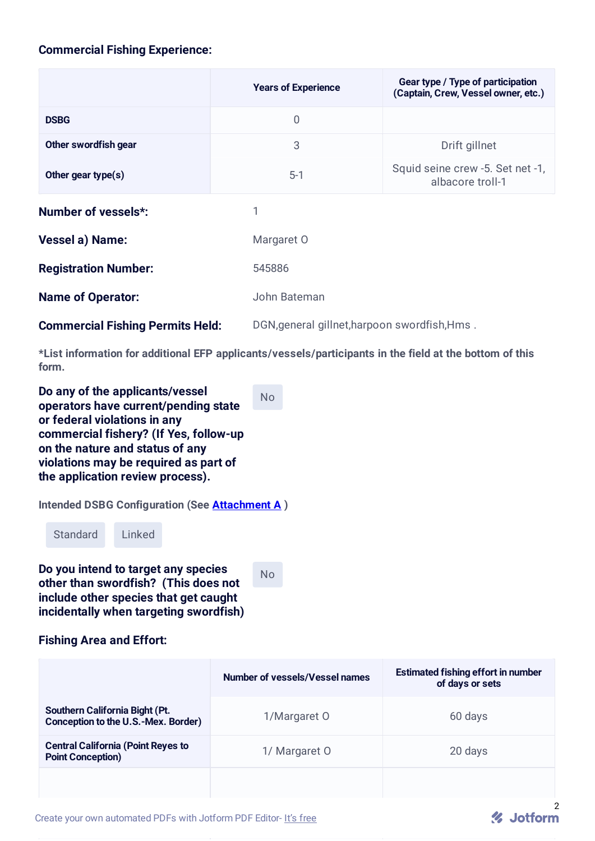# **Commercial Fishing Experience:**

|                                         | <b>Years of Experience</b> | Gear type / Type of participation<br>(Captain, Crew, Vessel owner, etc.) |  |
|-----------------------------------------|----------------------------|--------------------------------------------------------------------------|--|
| <b>DSBG</b>                             | $\overline{0}$             |                                                                          |  |
| Other swordfish gear                    | 3                          | Drift gillnet                                                            |  |
| Other gear type(s)                      | $5-1$                      | Squid seine crew -5. Set net -1,<br>albacore troll-1                     |  |
| <b>Number of vessels*:</b>              | 1                          |                                                                          |  |
| <b>Vessel a) Name:</b>                  | Margaret O                 |                                                                          |  |
| <b>Registration Number:</b>             | 545886                     |                                                                          |  |
| <b>Name of Operator:</b>                | John Bateman               |                                                                          |  |
| <b>Commercial Fishing Permits Held:</b> |                            | DGN, general gillnet, harpoon swordfish, Hms.                            |  |

**\*List information for additional EFP applicants/vessels/participants in the field at the bottom of this form.**

No

**Do any of the applicants/vessel operators have current/pending state or federal violations in any commercial fishery? (If Yes, follow-up on the nature and status of any violations may be required as part of the application review process).**

**Intended DSBG Configuration (See Attachment A )**

Standard Linked

**Do you intend to target any species other than swordfish? (This does not include other species that get caught incidentally when targeting swordfish)**

No

#### **Fishing Area and Effort:**

|                                                                       | <b>Number of vessels/Vessel names</b> | <b>Estimated fishing effort in number</b><br>of days or sets |
|-----------------------------------------------------------------------|---------------------------------------|--------------------------------------------------------------|
| Southern California Bight (Pt.<br>Conception to the U.S.-Mex. Border) | 1/Margaret 0                          | 60 days                                                      |
| <b>Central California (Point Reyes to</b><br><b>Point Conception)</b> | 1/ Margaret 0                         | 20 days                                                      |
|                                                                       |                                       |                                                              |